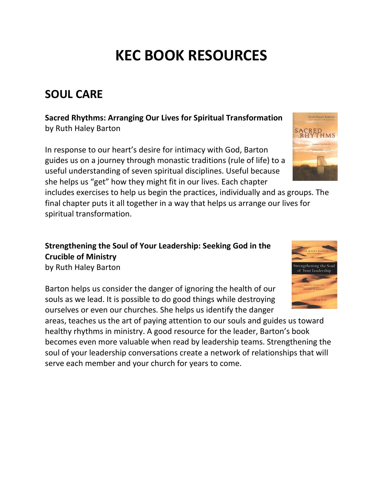# **KEC BOOK RESOURCES**

# **SOUL CARE**

**Sacred Rhythms: Arranging Our Lives for Spiritual Transformation** by Ruth Haley Barton

In response to our heart's desire for intimacy with God, Barton guides us on a journey through monastic traditions (rule of life) to a useful understanding of seven spiritual disciplines. Useful because she helps us "get" how they might fit in our lives. Each chapter

includes exercises to help us begin the practices, individually and as groups. The final chapter puts it all together in a way that helps us arrange our lives for spiritual transformation.

#### **Strengthening the Soul of Your Leadership: Seeking God in the Crucible of Ministry** by Ruth Haley Barton

Barton helps us consider the danger of ignoring the health of our souls as we lead. It is possible to do good things while destroying

ourselves or even our churches. She helps us identify the danger areas, teaches us the art of paying attention to our souls and guides us toward healthy rhythms in ministry. A good resource for the leader, Barton's book becomes even more valuable when read by leadership teams. Strengthening the soul of your leadership conversations create a network of relationships that will serve each member and your church for years to come.



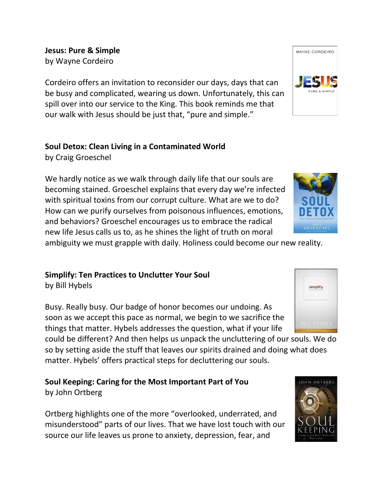**Jesus: Pure & Simple** by Wayne Cordeiro

Cordeiro offers an invitation to reconsider our days, days that can be busy and complicated, wearing us down. Unfortunately, this can spill over into our service to the King. This book reminds me that our walk with Jesus should be just that, "pure and simple."

### **Soul Detox: Clean Living in a Contaminated World**

by Craig Groeschel

We hardly notice as we walk through daily life that our souls are becoming stained. Groeschel explains that every day we're infected with spiritual toxins from our corrupt culture. What are we to do? How can we purify ourselves from poisonous influences, emotions, and behaviors? Groeschel encourages us to embrace the radical new life Jesus calls us to, as he shines the light of truth on moral

ambiguity we must grapple with daily. Holiness could become our new reality.

# **Simplify: Ten Practices to Unclutter Your Soul**

by Bill Hybels

Busy. Really busy. Our badge of honor becomes our undoing. As soon as we accept this pace as normal, we begin to we sacrifice the things that matter. Hybels addresses the question, what if your life

could be different? And then helps us unpack the uncluttering of our souls. We do so by setting aside the stuff that leaves our spirits drained and doing what does matter. Hybels' offers practical steps for decluttering our souls.

#### **Soul Keeping: Caring for the Most Important Part of You** by John Ortberg

Ortberg highlights one of the more "overlooked, underrated, and misunderstood" parts of our lives. That we have lost touch with our source our life leaves us prone to anxiety, depression, fear, and







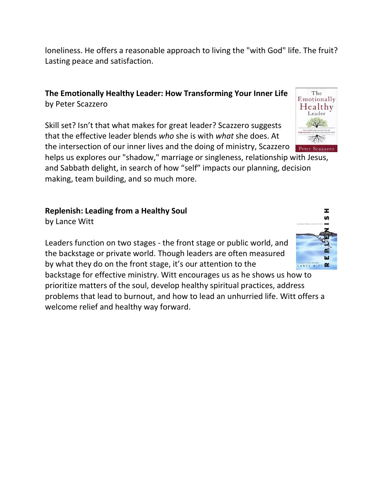loneliness. He offers a reasonable approach to living the "with God" life. The fruit? Lasting peace and satisfaction.

**The Emotionally Healthy Leader: How Transforming Your Inner Life** by Peter Scazzero

Skill set? Isn't that what makes for great leader? Scazzero suggests that the effective leader blends *who* she is with *what* she does. At the intersection of our inner lives and the doing of ministry, Scazzero

helps us explores our "shadow," marriage or singleness, relationship with Jesus, and Sabbath delight, in search of how "self" impacts our planning, decision making, team building, and so much more.

# **Replenish: Leading from a Healthy Soul**

by [Lance Witt](https://www.christianbook.com/Christian/Books/easy_find?Ntk=author&Ntt=Lance%20Witt)

Leaders function on two stages - the front stage or public world, and the backstage or private world. Though leaders are often measured by what they do on the front stage, it's our attention to the

backstage for effective ministry. Witt encourages us as he shows us how to prioritize matters of the soul, develop healthy spiritual practices, address problems that lead to burnout, and how to lead an unhurried life. Witt offers a welcome relief and healthy way forward.



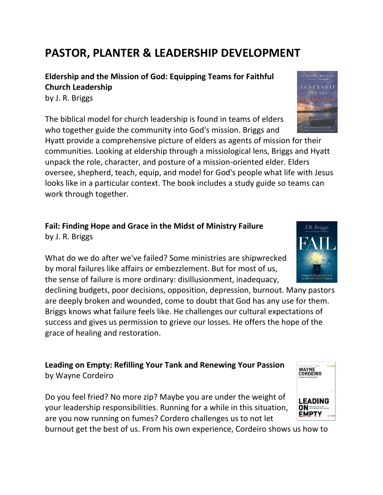# **PASTOR, PLANTER & LEADERSHIP DEVELOPMENT**

**Eldership and the Mission of God: Equipping Teams for Faithful Church Leadership**

by J. R. Briggs

The biblical model for church leadership is found in teams of elders who together guide the community into God's mission. Briggs and

Hyatt provide a comprehensive picture of elders as agents of mission for their communities. Looking at eldership through a missiological lens, Briggs and Hyatt unpack the role, character, and posture of a mission-oriented elder. Elders oversee, shepherd, teach, equip, and model for God's people what life with Jesus looks like in a particular context. The book includes a study guide so teams can work through together.

## **Fail: Finding Hope and Grace in the Midst of Ministry Failure** by J. R. Briggs

What do we do after we've failed? Some ministries are shipwrecked by moral failures like affairs or embezzlement. But for most of us, the sense of failure is more ordinary: disillusionment, inadequacy,

declining budgets, poor decisions, opposition, depression, burnout. Many pastors are deeply broken and wounded, come to doubt that God has any use for them. Briggs knows what failure feels like. He challenges our cultural expectations of success and gives us permission to grieve our losses. He offers the hope of the grace of healing and restoration.

**Leading on Empty: Refilling Your Tank and Renewing Your Passion** by Wayne Cordeiro

Do you feel fried? No more zip? Maybe you are under the weight of your leadership responsibilities. Running for a while in this situation, are you now running on fumes? Cordero challenges us to not let

burnout get the best of us. From his own experience, Cordeiro shows us how to





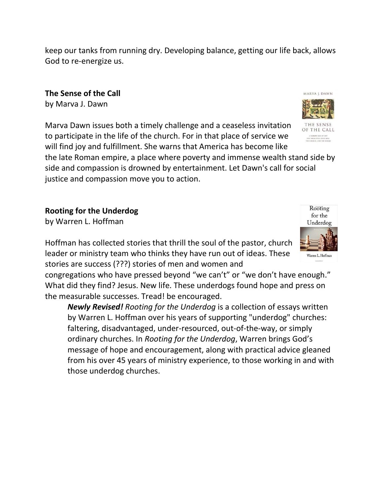keep our tanks from running dry. Developing balance, getting our life back, allows God to re-energize us.

**The Sense of the Call** by Marva J. Dawn

Marva Dawn issues both a timely challenge and a ceaseless invitation to participate in the life of the church. For in that place of service we will find joy and fulfillment. She warns that America has become like

the late Roman empire, a place where poverty and immense wealth stand side by side and compassion is drowned by entertainment. Let Dawn's call for social justice and compassion move you to action.

**Rooting for the Underdog**

by Warren L. Hoffman

Hoffman has collected stories that thrill the soul of the pastor, church leader or ministry team who thinks they have run out of ideas. These stories are success (???) stories of men and women and

congregations who have pressed beyond "we can't" or "we don't have enough." What did they find? Jesus. New life. These underdogs found hope and press on the measurable successes. Tread! be encouraged.

*Newly Revised! Rooting for the Underdog* is a collection of essays written by Warren L. Hoffman over his years of supporting "underdog" churches: faltering, disadvantaged, under-resourced, out-of-the-way, or simply ordinary churches. In *Rooting for the Underdog*, Warren brings God's message of hope and encouragement, along with practical advice gleaned from his over 45 years of ministry experience, to those working in and with those underdog churches.



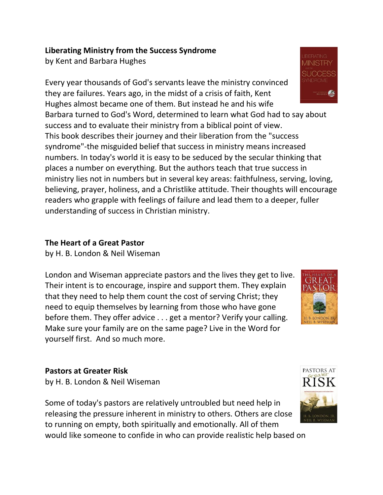#### **Liberating Ministry from the Success Syndrome**

by Kent and Barbara Hughes

Every year thousands of God's servants leave the ministry convinced they are failures. Years ago, in the midst of a crisis of faith, Kent Hughes almost became one of them. But instead he and his wife

Barbara turned to God's Word, determined to learn what God had to say about success and to evaluate their ministry from a biblical point of view. This book describes their journey and their liberation from the "success syndrome"-the misguided belief that success in ministry means increased numbers. In today's world it is easy to be seduced by the secular thinking that places a number on everything. But the authors teach that true success in ministry lies not in numbers but in several key areas: faithfulness, serving, loving, believing, prayer, holiness, and a Christlike attitude. Their thoughts will encourage readers who grapple with feelings of failure and lead them to a deeper, fuller understanding of success in Christian ministry.

#### **The Heart of a Great Pastor**

by H. B. London & Neil Wiseman

London and Wiseman appreciate pastors and the lives they get to live. Their intent is to encourage, inspire and support them. They explain that they need to help them count the cost of serving Christ; they need to equip themselves by learning from those who have gone before them. They offer advice . . . get a mentor? Verify your calling. Make sure your family are on the same page? Live in the Word for yourself first. And so much more.

# **Pastors at Greater Risk**

by H. B. London & Neil Wiseman

Some of today's pastors are relatively untroubled but need help in releasing the pressure inherent in ministry to others. Others are close to running on empty, both spiritually and emotionally. All of them would like someone to confide in who can provide realistic help based on





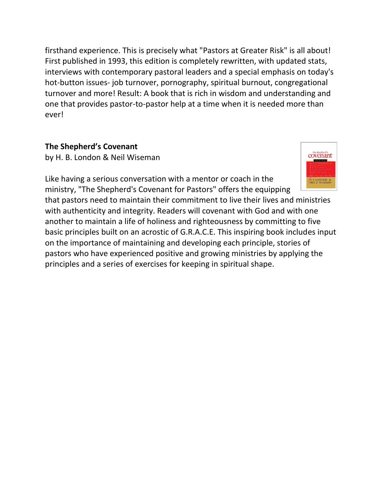firsthand experience. This is precisely what "Pastors at Greater Risk" is all about! First published in 1993, this edition is completely rewritten, with updated stats, interviews with contemporary pastoral leaders and a special emphasis on today's hot-button issues- job turnover, pornography, spiritual burnout, congregational turnover and more! Result: A book that is rich in wisdom and understanding and one that provides pastor-to-pastor help at a time when it is needed more than ever!

#### **The Shepherd's Covenant**

by H. B. London & Neil Wiseman



Like having a serious conversation with a mentor or coach in the ministry, "The Shepherd's Covenant for Pastors" offers the equipping

that pastors need to maintain their commitment to live their lives and ministries with authenticity and integrity. Readers will covenant with God and with one another to maintain a life of holiness and righteousness by committing to five basic principles built on an acrostic of G.R.A.C.E. This inspiring book includes input on the importance of maintaining and developing each principle, stories of pastors who have experienced positive and growing ministries by applying the principles and a series of exercises for keeping in spiritual shape.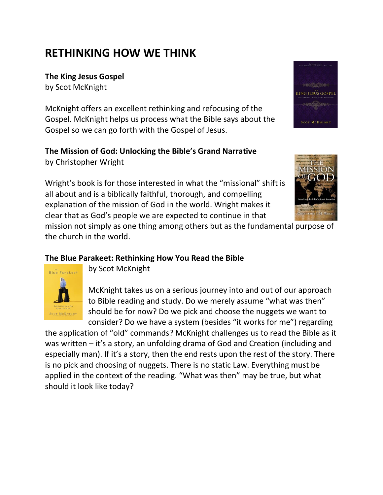# **RETHINKING HOW WE THINK**

**The King Jesus Gospel**

by Scot McKnight

McKnight offers an excellent rethinking and refocusing of the Gospel. McKnight helps us process what the Bible says about the Gospel so we can go forth with the Gospel of Jesus.

# **The Mission of God: Unlocking the Bible's Grand Narrative**

by Christopher Wright

Wright's book is for those interested in what the "missional" shift is all about and is a biblically faithful, thorough, and compelling explanation of the mission of God in the world. Wright makes it clear that as God's people we are expected to continue in that

mission not simply as one thing among others but as the fundamental purpose of the church in the world.

#### **The Blue Parakeet: Rethinking How You Read the Bible**



by Scot McKnight

McKnight takes us on a serious journey into and out of our approach to Bible reading and study. Do we merely assume "what was then" should be for now? Do we pick and choose the nuggets we want to consider? Do we have a system (besides "it works for me") regarding

the application of "old" commands? McKnight challenges us to read the Bible as it was written – it's a story, an unfolding drama of God and Creation (including and especially man). If it's a story, then the end rests upon the rest of the story. There is no pick and choosing of nuggets. There is no static Law. Everything must be applied in the context of the reading. "What was then" may be true, but what should it look like today?



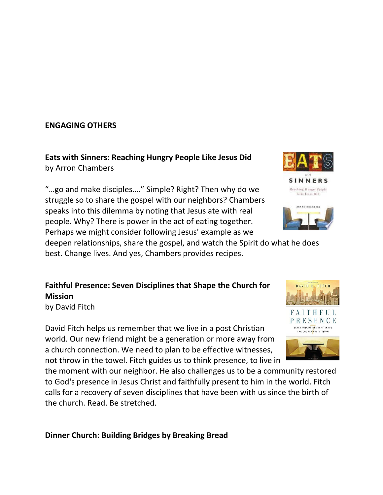#### **ENGAGING OTHERS**

**Eats with Sinners: Reaching Hungry People Like Jesus Did** by Arron Chambers

"…go and make disciples…." Simple? Right? Then why do we struggle so to share the gospel with our neighbors? Chambers speaks into this dilemma by noting that Jesus ate with real people. Why? There is power in the act of eating together. Perhaps we might consider following Jesus' example as we

deepen relationships, share the gospel, and watch the Spirit do what he does best. Change lives. And yes, Chambers provides recipes.

**Faithful Presence: Seven Disciplines that Shape the Church for Mission**

by David Fitch

David Fitch helps us remember that we live in a post Christian world. Our new friend might be a generation or more away from a church connection. We need to plan to be effective witnesses, not throw in the towel. Fitch guides us to think presence, to live in

the moment with our neighbor. He also challenges us to be a community restored to God's presence in Jesus Christ and faithfully present to him in the world. Fitch calls for a recovery of seven disciplines that have been with us since the birth of the church. Read. Be stretched.

**Dinner Church: Building Bridges by Breaking Bread**



Reaching Hungey People Like Jevns Did

**SINNERS** 







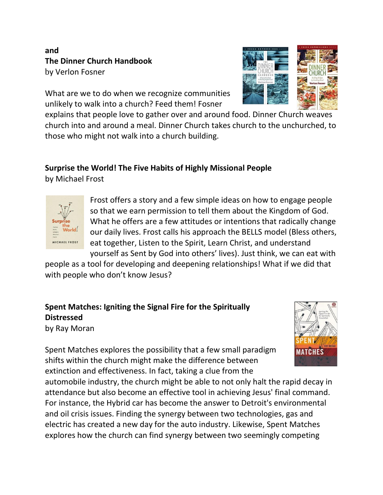### **and The Dinner Church Handbook** by Verlon Fosner

What are we to do when we recognize communities unlikely to walk into a church? Feed them! Fosner

explains that people love to gather over and around food. Dinner Church weaves church into and around a meal. Dinner Church takes church to the unchurched, to those who might not walk into a church building.

# **Surprise the World! The Five Habits of Highly Missional People**

by Michael Frost



Frost offers a story and a few simple ideas on how to engage people so that we earn permission to tell them about the Kingdom of God. What he offers are a few attitudes or intentions that radically change our daily lives. Frost calls his approach the BELLS model (Bless others, eat together, Listen to the Spirit, Learn Christ, and understand yourself as Sent by God into others' lives). Just think, we can eat with

people as a tool for developing and deepening relationships! What if we did that with people who don't know Jesus?

# **Spent Matches: Igniting the Signal Fire for the Spiritually Distressed**

by Ray Moran



Spent Matches explores the possibility that a few small paradigm shifts within the church might make the difference between extinction and effectiveness. In fact, taking a clue from the

automobile industry, the church might be able to not only halt the rapid decay in attendance but also become an effective tool in achieving Jesus' final command. For instance, the Hybrid car has become the answer to Detroit's environmental and oil crisis issues. Finding the synergy between two technologies, gas and electric has created a new day for the auto industry. Likewise, Spent Matches explores how the church can find synergy between two seemingly competing

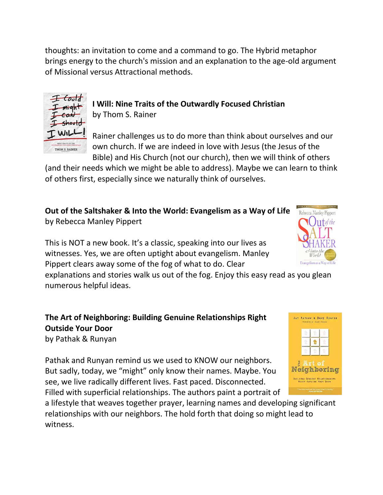thoughts: an invitation to come and a command to go. The Hybrid metaphor brings energy to the church's mission and an explanation to the age-old argument of Missional versus Attractional methods.



**I Will: Nine Traits of the Outwardly Focused Christian** by Thom S. Rainer

Rainer challenges us to do more than think about ourselves and our own church. If we are indeed in love with Jesus (the Jesus of the Bible) and His Church (not our church), then we will think of others

(and their needs which we might be able to address). Maybe we can learn to think of others first, especially since we naturally think of ourselves.

**Out of the Saltshaker & Into the World: Evangelism as a Way of Life** by Rebecca Manley Pippert

This is NOT a new book. It's a classic, speaking into our lives as witnesses. Yes, we are often uptight about evangelism. Manley Pippert clears away some of the fog of what to do. Clear

explanations and stories walk us out of the fog. Enjoy this easy read as you glean numerous helpful ideas.

**The Art of Neighboring: Building Genuine Relationships Right Outside Your Door** by Pathak & Runyan

Pathak and Runyan remind us we used to KNOW our neighbors. But sadly, today, we "might" only know their names. Maybe. You see, we live radically different lives. Fast paced. Disconnected. Filled with superficial relationships. The authors paint a portrait of

a lifestyle that weaves together prayer, learning names and developing significant relationships with our neighbors. The hold forth that doing so might lead to witness.